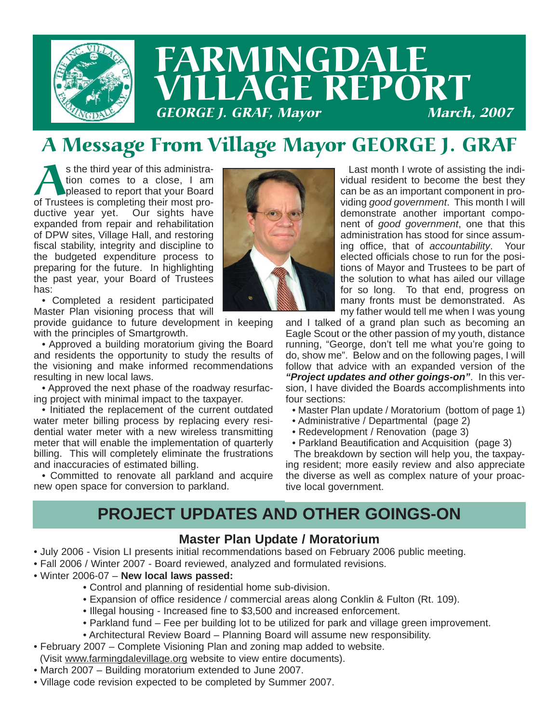

# A Message From Village Mayor GEORGE J. GRAF

s the third year of this administra-<br>tion comes to a close, I am<br>pleased to report that your Board<br>of Trustees is completing their most protion comes to a close, I am pleased to report that your Board ductive year yet. Our sights have expanded from repair and rehabilitation of DPW sites, Village Hall, and restoring fiscal stability, integrity and discipline to the budgeted expenditure process to preparing for the future. In highlighting the past year, your Board of Trustees has:

• Completed a resident participated Master Plan visioning process that will

provide guidance to future development in keeping with the principles of Smartgrowth.

• Approved a building moratorium giving the Board and residents the opportunity to study the results of the visioning and make informed recommendations resulting in new local laws.

• Approved the next phase of the roadway resurfacing project with minimal impact to the taxpayer.

• Initiated the replacement of the current outdated water meter billing process by replacing every residential water meter with a new wireless transmitting meter that will enable the implementation of quarterly billing. This will completely eliminate the frustrations and inaccuracies of estimated billing.

• Committed to renovate all parkland and acquire new open space for conversion to parkland.



Last month I wrote of assisting the individual resident to become the best they can be as an important component in providing *good government*. This month I will demonstrate another important component of *good government*, one that this administration has stood for since assuming office, that of *accountability*. Your elected officials chose to run for the positions of Mayor and Trustees to be part of the solution to what has ailed our village for so long. To that end, progress on many fronts must be demonstrated. As my father would tell me when I was young

and I talked of a grand plan such as becoming an Eagle Scout or the other passion of my youth, distance running, "George, don't tell me what you're going to do, show me". Below and on the following pages, I will follow that advice with an expanded version of the *"Project updates and other goings-on"*. In this version, I have divided the Boards accomplishments into four sections:

- Master Plan update / Moratorium (bottom of page 1)
- Administrative / Departmental (page 2)
- Redevelopment / Renovation (page 3)
- Parkland Beautification and Acquisition (page 3)

The breakdown by section will help you, the taxpaying resident; more easily review and also appreciate the diverse as well as complex nature of your proactive local government.

## **PROJECT UPDATES AND OTHER GOINGS-ON**

#### **Master Plan Update / Moratorium**

- July 2006 Vision LI presents initial recommendations based on February 2006 public meeting.
- Fall 2006 / Winter 2007 Board reviewed, analyzed and formulated revisions.
- Winter 2006-07 **New local laws passed:**
	- Control and planning of residential home sub-division.
	- Expansion of office residence / commercial areas along Conklin & Fulton (Rt. 109).
	- Illegal housing Increased fine to \$3,500 and increased enforcement.
	- Parkland fund Fee per building lot to be utilized for park and village green improvement.
	- Architectural Review Board Planning Board will assume new responsibility.
- February 2007 Complete Visioning Plan and zoning map added to website.
- (Visit www.farmingdalevillage.org website to view entire documents).
- March 2007 Building moratorium extended to June 2007.
- Village code revision expected to be completed by Summer 2007.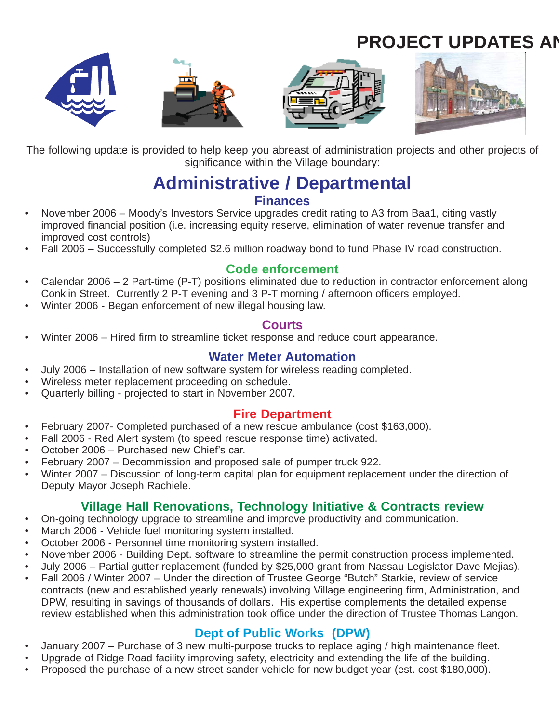# **PROJECT UPDATES AN**









The following update is provided to help keep you abreast of administration projects and other projects of significance within the Village boundary:

### **Administrative / Departmental Finances**

- November 2006 Moody's Investors Service upgrades credit rating to A3 from Baa1, citing vastly improved financial position (i.e. increasing equity reserve, elimination of water revenue transfer and improved cost controls)
- Fall 2006 Successfully completed \$2.6 million roadway bond to fund Phase IV road construction.

#### **Code enforcement**

- Calendar 2006 2 Part-time (P-T) positions eliminated due to reduction in contractor enforcement along Conklin Street. Currently 2 P-T evening and 3 P-T morning / afternoon officers employed.
- Winter 2006 Began enforcement of new illegal housing law.

#### **Courts**

• Winter 2006 – Hired firm to streamline ticket response and reduce court appearance.

### **Water Meter Automation**

- July 2006 Installation of new software system for wireless reading completed.
- Wireless meter replacement proceeding on schedule.
- Quarterly billing projected to start in November 2007.

### **Fire Department**

- February 2007- Completed purchased of a new rescue ambulance (cost \$163,000).
- Fall 2006 Red Alert system (to speed rescue response time) activated.
- October 2006 Purchased new Chief's car.
- February 2007 Decommission and proposed sale of pumper truck 922.
- Winter 2007 Discussion of long-term capital plan for equipment replacement under the direction of Deputy Mayor Joseph Rachiele.

### **Village Hall Renovations, Technology Initiative & Contracts review**

- On-going technology upgrade to streamline and improve productivity and communication.
- March 2006 Vehicle fuel monitoring system installed.
- October 2006 Personnel time monitoring system installed.
- November 2006 Building Dept. software to streamline the permit construction process implemented.
- July 2006 Partial gutter replacement (funded by \$25,000 grant from Nassau Legislator Dave Mejias).
- Fall 2006 / Winter 2007 Under the direction of Trustee George "Butch" Starkie, review of service contracts (new and established yearly renewals) involving Village engineering firm, Administration, and DPW, resulting in savings of thousands of dollars. His expertise complements the detailed expense review established when this administration took office under the direction of Trustee Thomas Langon.

### **Dept of Public Works (DPW)**

- January 2007 Purchase of 3 new multi-purpose trucks to replace aging / high maintenance fleet.
- Upgrade of Ridge Road facility improving safety, electricity and extending the life of the building.
- Proposed the purchase of a new street sander vehicle for new budget year (est. cost \$180,000).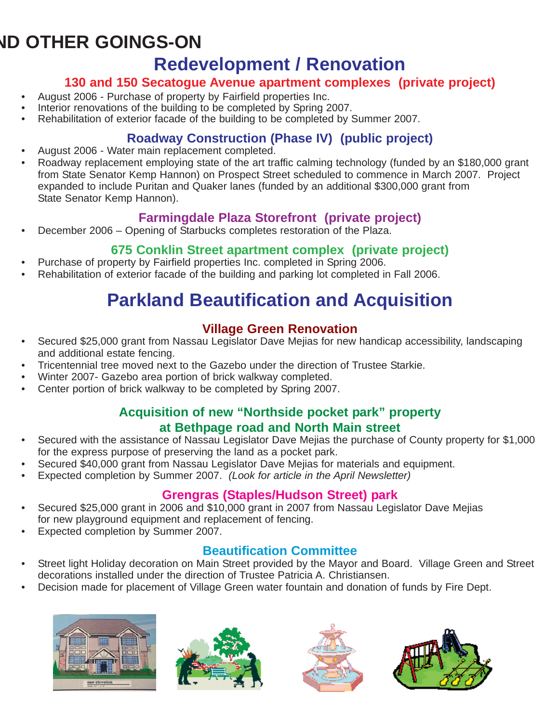# **ND OTHER GOINGS-ON**

# **Redevelopment / Renovation**

### **130 and 150 Secatogue Avenue apartment complexes (private project)**

- August 2006 Purchase of property by Fairfield properties Inc.
- Interior renovations of the building to be completed by Spring 2007.
- Rehabilitation of exterior facade of the building to be completed by Summer 2007.

### **Roadway Construction (Phase IV) (public project)**

- August 2006 Water main replacement completed.
- Roadway replacement employing state of the art traffic calming technology (funded by an \$180,000 grant from State Senator Kemp Hannon) on Prospect Street scheduled to commence in March 2007. Project expanded to include Puritan and Quaker lanes (funded by an additional \$300,000 grant from State Senator Kemp Hannon).

### **Farmingdale Plaza Storefront (private project)**

• December 2006 – Opening of Starbucks completes restoration of the Plaza.

### **675 Conklin Street apartment complex (private project)**

- Purchase of property by Fairfield properties Inc. completed in Spring 2006.
- Rehabilitation of exterior facade of the building and parking lot completed in Fall 2006.

# **Parkland Beautification and Acquisition**

### **Village Green Renovation**

- Secured \$25,000 grant from Nassau Legislator Dave Mejias for new handicap accessibility, landscaping and additional estate fencing.
- Tricentennial tree moved next to the Gazebo under the direction of Trustee Starkie.
- Winter 2007- Gazebo area portion of brick walkway completed.
- Center portion of brick walkway to be completed by Spring 2007.

### **Acquisition of new "Northside pocket park" property at Bethpage road and North Main street**

- Secured with the assistance of Nassau Legislator Dave Mejias the purchase of County property for \$1,000 for the express purpose of preserving the land as a pocket park.
- Secured \$40,000 grant from Nassau Legislator Dave Mejias for materials and equipment.
- Expected completion by Summer 2007. *(Look for article in the April Newsletter)*

### **Grengras (Staples/Hudson Street) park**

- Secured \$25,000 grant in 2006 and \$10,000 grant in 2007 from Nassau Legislator Dave Mejias for new playground equipment and replacement of fencing.
- Expected completion by Summer 2007.

### **Beautification Committee**

- Street light Holiday decoration on Main Street provided by the Mayor and Board. Village Green and Street decorations installed under the direction of Trustee Patricia A. Christiansen.
- Decision made for placement of Village Green water fountain and donation of funds by Fire Dept.